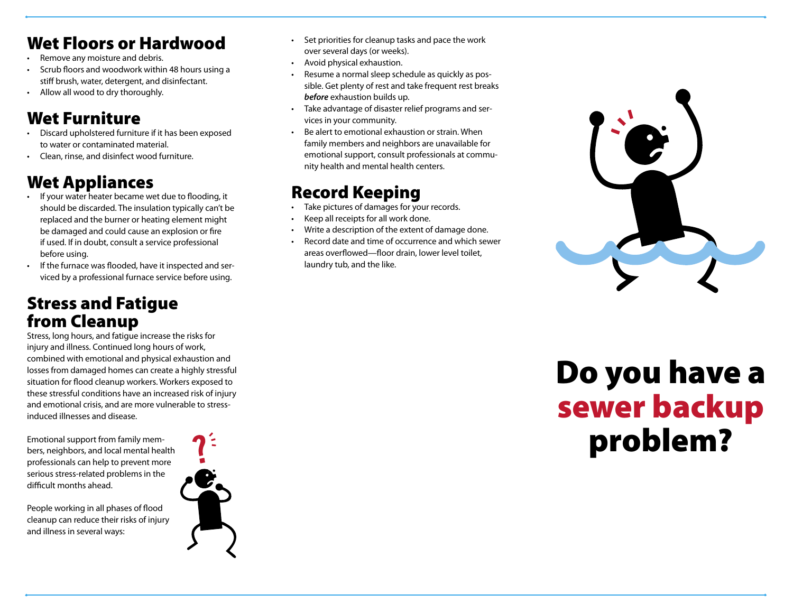# Wet Floors or Hardwood

- Remove any moisture and debris.
- Scrub floors and woodwork within 48 hours using a stiff brush, water, detergent, and disinfectant.
- Allow all wood to dry thoroughly.

# Wet Furniture

- Discard upholstered furniture if it has been exposed to water or contaminated material.
- Clean, rinse, and disinfect wood furniture.

# Wet Appliances

- If your water heater became wet due to flooding, it should be discarded. The insulation typically can't be replaced and the burner or heating element might be damaged and could cause an explosion or fire if used. If in doubt, consult a service professional before using.
- If the furnace was flooded, have it inspected and serviced by a professional furnace service before using.

### Stress and Fatigue from Cleanup

Stress, long hours, and fatigue increase the risks for injury and illness. Continued long hours of work, combined with emotional and physical exhaustion and losses from damaged homes can create a highly stressful situation for flood cleanup workers. Workers exposed to these stressful conditions have an increased risk of injury and emotional crisis, and are more vulnerable to stressinduced illnesses and disease.

Emotional support from family members, neighbors, and local mental health professionals can help to prevent more serious stress-related problems in the difficult months ahead.

People working in all phases of flood cleanup can reduce their risks of injury and illness in several ways:



- Set priorities for cleanup tasks and pace the work over several days (or weeks).
- Avoid physical exhaustion.
- Resume a normal sleep schedule as quickly as possible. Get plenty of rest and take frequent rest breaks **before** exhaustion builds up.
- Take advantage of disaster relief programs and services in your community.
- Be alert to emotional exhaustion or strain. When family members and neighbors are unavailable for emotional support, consult professionals at community health and mental health centers.

# Record Keeping

- Take pictures of damages for your records.
- Keep all receipts for all work done.
- Write a description of the extent of damage done.
- Record date and time of occurrence and which sewer areas overflowed—floor drain, lower level toilet, laundry tub, and the like.



# Do you have a sewer backup problem?